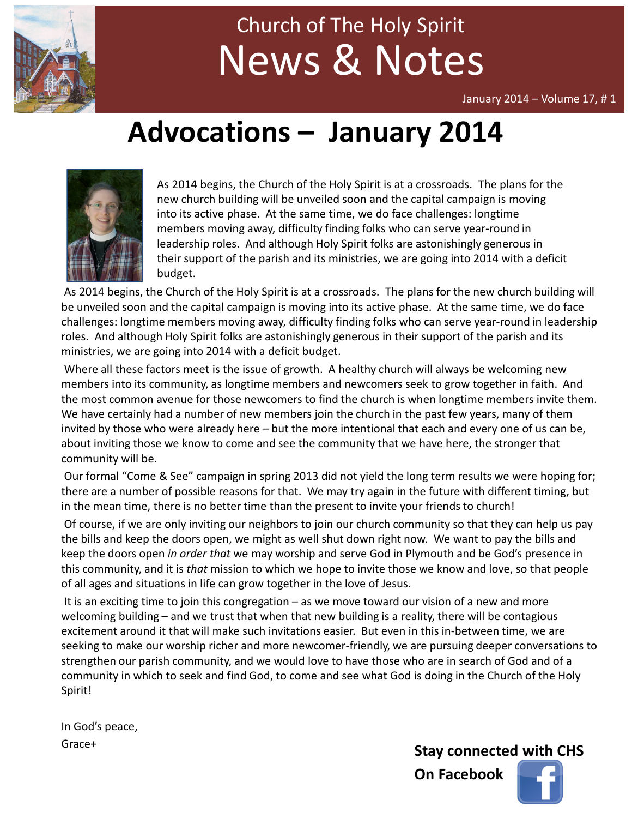

# News & Notes Church of The Holy Spirit

January 2014 – Volume 17, # 1

# Advocations – January 2014



As 2014 begins, the Church of the Holy Spirit is at a crossroads. The plans for the new church building will be unveiled soon and the capital campaign is moving into its active phase. At the same time, we do face challenges: longtime members moving away, difficulty finding folks who can serve year-round in leadership roles. And although Holy Spirit folks are astonishingly generous in their support of the parish and its ministries, we are going into 2014 with a deficit budget.

As 2014 begins, the Church of the Holy Spirit is at a crossroads. The plans for the new church building will be unveiled soon and the capital campaign is moving into its active phase. At the same time, we do face challenges: longtime members moving away, difficulty finding folks who can serve year-round in leadership roles. And although Holy Spirit folks are astonishingly generous in their support of the parish and its ministries, we are going into 2014 with a deficit budget.

Where all these factors meet is the issue of growth. A healthy church will always be welcoming new members into its community, as longtime members and newcomers seek to grow together in faith. And the most common avenue for those newcomers to find the church is when longtime members invite them. We have certainly had a number of new members join the church in the past few years, many of them invited by those who were already here – but the more intentional that each and every one of us can be, about inviting those we know to come and see the community that we have here, the stronger that community will be.

Our formal "Come & See" campaign in spring 2013 did not yield the long term results we were hoping for; there are a number of possible reasons for that. We may try again in the future with different timing, but in the mean time, there is no better time than the present to invite your friends to church!

Of course, if we are only inviting our neighbors to join our church community so that they can help us pay the bills and keep the doors open, we might as well shut down right now. We want to pay the bills and keep the doors open in order that we may worship and serve God in Plymouth and be God's presence in this community, and it is that mission to which we hope to invite those we know and love, so that people of all ages and situations in life can grow together in the love of Jesus.

It is an exciting time to join this congregation – as we move toward our vision of a new and more welcoming building – and we trust that when that new building is a reality, there will be contagious excitement around it that will make such invitations easier. But even in this in-between time, we are seeking to make our worship richer and more newcomer-friendly, we are pursuing deeper conversations to strengthen our parish community, and we would love to have those who are in search of God and of a community in which to seek and find God, to come and see what God is doing in the Church of the Holy Spirit!

In God's peace, Grace+

Stay connected with CHS

On Facebook

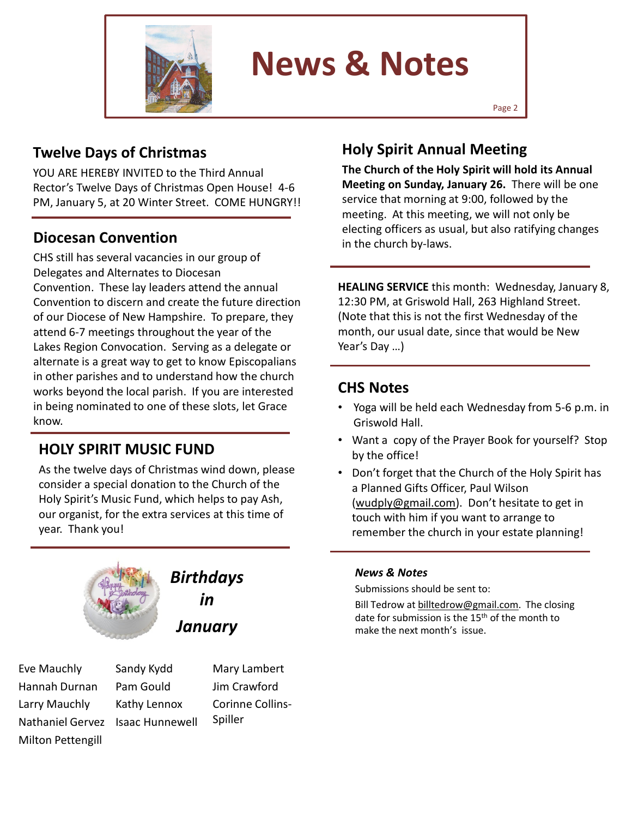

# News & Notes

## Twelve Days of Christmas

YOU ARE HEREBY INVITED to the Third Annual Rector's Twelve Days of Christmas Open House! 4-6 PM, January 5, at 20 Winter Street. COME HUNGRY!!

## Diocesan Convention

CHS still has several vacancies in our group of Delegates and Alternates to Diocesan Convention. These lay leaders attend the annual Convention to discern and create the future direction of our Diocese of New Hampshire. To prepare, they attend 6-7 meetings throughout the year of the Lakes Region Convocation. Serving as a delegate or alternate is a great way to get to know Episcopalians in other parishes and to understand how the church works beyond the local parish. If you are interested in being nominated to one of these slots, let Grace know.

## HOLY SPIRIT MUSIC FUND

As the twelve days of Christmas wind down, please consider a special donation to the Church of the Holy Spirit's Music Fund, which helps to pay Ash, our organist, for the extra services at this time of year. Thank you!



# **Birthdays** in January

Eve Mauchly Hannah Durnan Larry Mauchly Nathaniel Gervez Isaac HunnewellMilton Pettengill

Sandy Kydd Pam Gould Kathy Lennox

Mary Lambert Jim Crawford Corinne Collins-Spiller

## Holy Spirit Annual Meeting

The Church of the Holy Spirit will hold its Annual Meeting on Sunday, January 26. There will be one service that morning at 9:00, followed by the meeting. At this meeting, we will not only be electing officers as usual, but also ratifying changes in the church by-laws.

HEALING SERVICE this month: Wednesday, January 8, 12:30 PM, at Griswold Hall, 263 Highland Street. (Note that this is not the first Wednesday of the month, our usual date, since that would be New Year's Day …)

### CHS Notes

- Yoga will be held each Wednesday from 5-6 p.m. in Griswold Hall.
- Want a copy of the Prayer Book for yourself? Stop by the office!
- Don't forget that the Church of the Holy Spirit has a Planned Gifts Officer, Paul Wilson (wudply@gmail.com). Don't hesitate to get in touch with him if you want to arrange to remember the church in your estate planning!

#### News & Notes

Submissions should be sent to:

Bill Tedrow at billtedrow@gmail.com. The closing date for submission is the 15<sup>th</sup> of the month to make the next month's issue.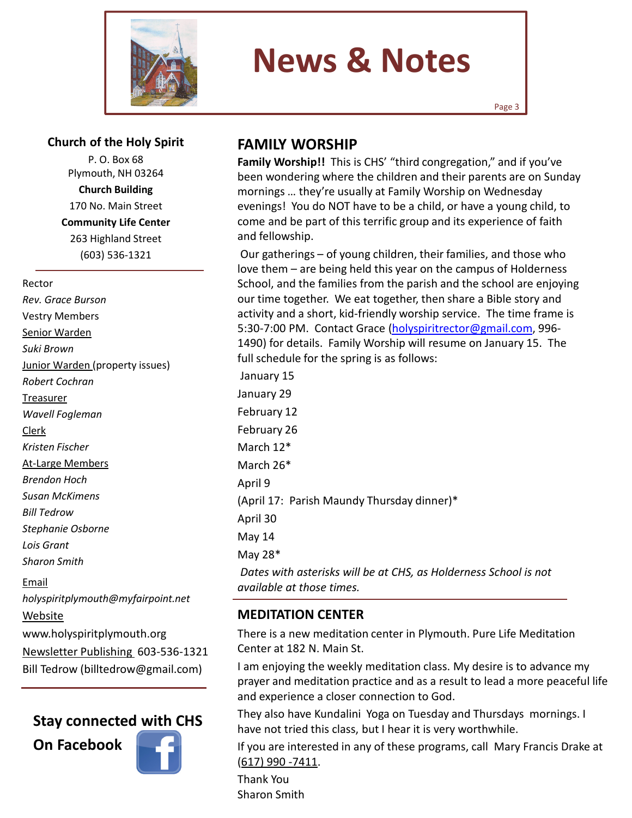

# News & Notes

#### Church of the Holy Spirit

P. O. Box 68 Plymouth, NH 03264 Church Building 170 No. Main Street Community Life Center 263 Highland Street (603) 536-1321

#### Rector

Rev. Grace Burson Vestry Members Senior Warden Suki Brown Junior Warden (property issues) Robert Cochran Treasurer Wavell Fogleman Clerk Kristen Fischer At-Large Members Brendon Hoch Susan McKimens Bill Tedrow Stephanie Osborne Lois Grant Sharon Smith Email holyspiritplymouth@myfairpoint.net Website

www.holyspiritplymouth.org Newsletter Publishing 603-536-1321 Bill Tedrow (billtedrow@gmail.com)

#### Stay connected with CHS





## FAMILY WORSHIP

Family Worship!! This is CHS' "third congregation," and if you've been wondering where the children and their parents are on Sunday mornings … they're usually at Family Worship on Wednesday evenings! You do NOT have to be a child, or have a young child, to come and be part of this terrific group and its experience of faith and fellowship.

Our gatherings – of young children, their families, and those who love them – are being held this year on the campus of Holderness School, and the families from the parish and the school are enjoying our time together. We eat together, then share a Bible story and activity and a short, kid-friendly worship service. The time frame is 5:30-7:00 PM. Contact Grace (holyspiritrector@gmail.com, 996-1490) for details. Family Worship will resume on January 15. The full schedule for the spring is as follows:

January 15 January 29 February 12 February 26 March 12\* March 26\* April 9 (April 17: Parish Maundy Thursday dinner)\* April 30 May 14 May 28\* Dates with asterisks will be at CHS, as Holderness School is not available at those times.

#### MEDITATION CENTER

There is a new meditation center in Plymouth. Pure Life Meditation Center at 182 N. Main St.

I am enjoying the weekly meditation class. My desire is to advance my prayer and meditation practice and as a result to lead a more peaceful life and experience a closer connection to God.

They also have Kundalini Yoga on Tuesday and Thursdays mornings. I have not tried this class, but I hear it is very worthwhile.

If you are interested in any of these programs, call Mary Francis Drake at (617) 990 -7411.

Thank You Sharon Smith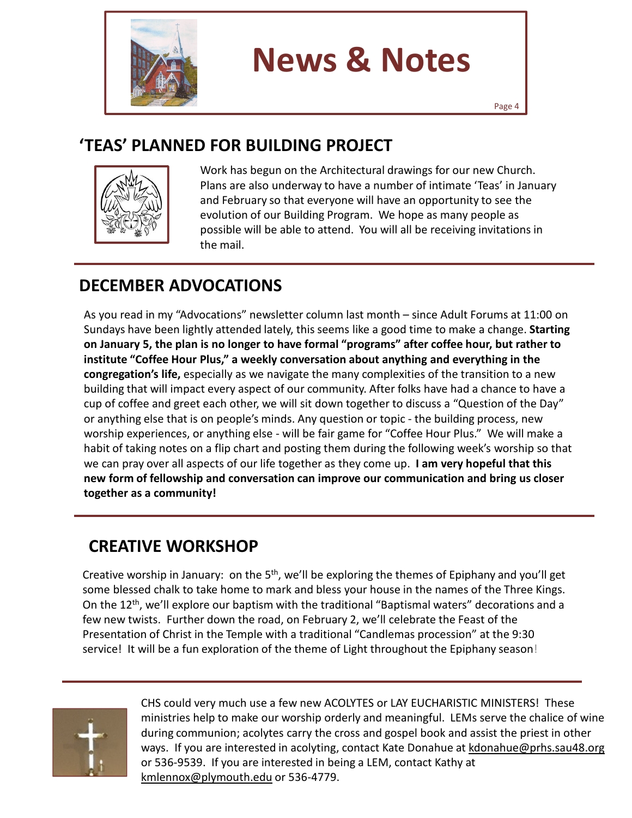

# News & Notes

# 'TEAS' PLANNED FOR BUILDING PROJECT



Work has begun on the Architectural drawings for our new Church. Plans are also underway to have a number of intimate 'Teas' in January and February so that everyone will have an opportunity to see the evolution of our Building Program. We hope as many people as possible will be able to attend. You will all be receiving invitations in the mail.

# DECEMBER ADVOCATIONS

As you read in my "Advocations" newsletter column last month – since Adult Forums at 11:00 on Sundays have been lightly attended lately, this seems like a good time to make a change. Starting on January 5, the plan is no longer to have formal "programs" after coffee hour, but rather to institute "Coffee Hour Plus," a weekly conversation about anything and everything in the congregation's life, especially as we navigate the many complexities of the transition to a new building that will impact every aspect of our community. After folks have had a chance to have a cup of coffee and greet each other, we will sit down together to discuss a "Question of the Day" or anything else that is on people's minds. Any question or topic - the building process, new worship experiences, or anything else - will be fair game for "Coffee Hour Plus." We will make a habit of taking notes on a flip chart and posting them during the following week's worship so that we can pray over all aspects of our life together as they come up. I am very hopeful that this new form of fellowship and conversation can improve our communication and bring us closer together as a community!

# CREATIVE WORKSHOP

Creative worship in January: on the 5<sup>th</sup>, we'll be exploring the themes of Epiphany and you'll get some blessed chalk to take home to mark and bless your house in the names of the Three Kings. On the 12th, we'll explore our baptism with the traditional "Baptismal waters" decorations and a few new twists. Further down the road, on February 2, we'll celebrate the Feast of the Presentation of Christ in the Temple with a traditional "Candlemas procession" at the 9:30 service! It will be a fun exploration of the theme of Light throughout the Epiphany season!



CHS could very much use a few new ACOLYTES or LAY EUCHARISTIC MINISTERS! These ministries help to make our worship orderly and meaningful. LEMs serve the chalice of wine during communion; acolytes carry the cross and gospel book and assist the priest in other ways. If you are interested in acolyting, contact Kate Donahue at kdonahue@prhs.sau48.org or 536-9539. If you are interested in being a LEM, contact Kathy at kmlennox@plymouth.edu or 536-4779.